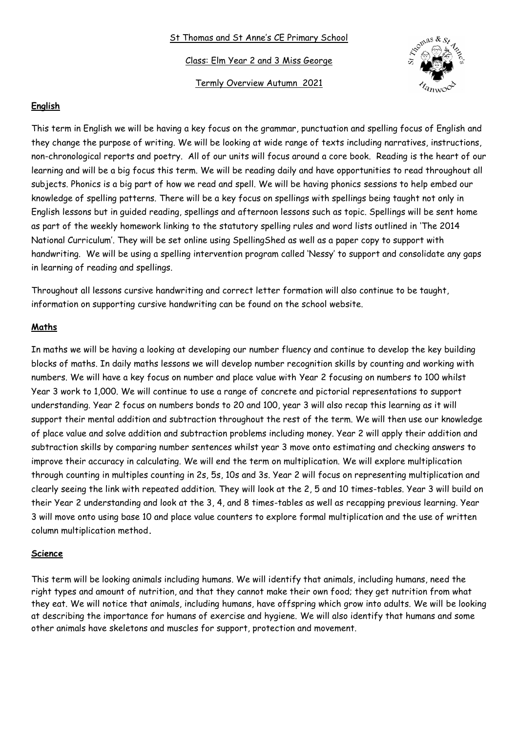#### St Thomas and St Anne's CE Primary School

Class: Elm Year 2 and 3 Miss George

Termly Overview Autumn 2021



## **English**

This term in English we will be having a key focus on the grammar, punctuation and spelling focus of English and they change the purpose of writing. We will be looking at wide range of texts including narratives, instructions, non-chronological reports and poetry. All of our units will focus around a core book. Reading is the heart of our learning and will be a big focus this term. We will be reading daily and have opportunities to read throughout all subjects. Phonics is a big part of how we read and spell. We will be having phonics sessions to help embed our knowledge of spelling patterns. There will be a key focus on spellings with spellings being taught not only in English lessons but in guided reading, spellings and afternoon lessons such as topic. Spellings will be sent home as part of the weekly homework linking to the statutory spelling rules and word lists outlined in 'The 2014 National Curriculum'. They will be set online using SpellingShed as well as a paper copy to support with handwriting. We will be using a spelling intervention program called 'Nessy' to support and consolidate any gaps in learning of reading and spellings.

Throughout all lessons cursive handwriting and correct letter formation will also continue to be taught, information on supporting cursive handwriting can be found on the school website.

### **Maths**

In maths we will be having a looking at developing our number fluency and continue to develop the key building blocks of maths. In daily maths lessons we will develop number recognition skills by counting and working with numbers. We will have a key focus on number and place value with Year 2 focusing on numbers to 100 whilst Year 3 work to 1,000. We will continue to use a range of concrete and pictorial representations to support understanding. Year 2 focus on numbers bonds to 20 and 100, year 3 will also recap this learning as it will support their mental addition and subtraction throughout the rest of the term. We will then use our knowledge of place value and solve addition and subtraction problems including money. Year 2 will apply their addition and subtraction skills by comparing number sentences whilst year 3 move onto estimating and checking answers to improve their accuracy in calculating. We will end the term on multiplication. We will explore multiplication through counting in multiples counting in 2s, 5s, 10s and 3s. Year 2 will focus on representing multiplication and clearly seeing the link with repeated addition. They will look at the 2, 5 and 10 times-tables. Year 3 will build on their Year 2 understanding and look at the 3, 4, and 8 times-tables as well as recapping previous learning. Year 3 will move onto using base 10 and place value counters to explore formal multiplication and the use of written column multiplication method**.** 

#### **Science**

This term will be looking animals including humans. We will identify that animals, including humans, need the right types and amount of nutrition, and that they cannot make their own food; they get nutrition from what they eat. We will notice that animals, including humans, have offspring which grow into adults. We will be looking at describing the importance for humans of exercise and hygiene. We will also identify that humans and some other animals have skeletons and muscles for support, protection and movement.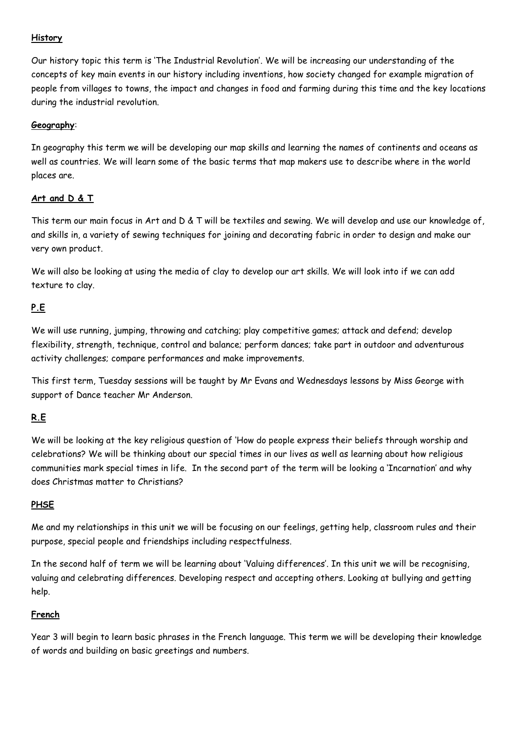## **History**

Our history topic this term is 'The Industrial Revolution'. We will be increasing our understanding of the concepts of key main events in our history including inventions, how society changed for example migration of people from villages to towns, the impact and changes in food and farming during this time and the key locations during the industrial revolution.

# **Geography**:

In geography this term we will be developing our map skills and learning the names of continents and oceans as well as countries. We will learn some of the basic terms that map makers use to describe where in the world places are.

## **Art and D & T**

This term our main focus in Art and D & T will be textiles and sewing. We will develop and use our knowledge of, and skills in, a variety of sewing techniques for joining and decorating fabric in order to design and make our very own product.

We will also be looking at using the media of clay to develop our art skills. We will look into if we can add texture to clay.

# **P.E**

We will use running, jumping, throwing and catching; play competitive games; attack and defend; develop flexibility, strength, technique, control and balance; perform dances; take part in outdoor and adventurous activity challenges; compare performances and make improvements.

This first term, Tuesday sessions will be taught by Mr Evans and Wednesdays lessons by Miss George with support of Dance teacher Mr Anderson.

# **R.E**

We will be looking at the key religious question of 'How do people express their beliefs through worship and celebrations? We will be thinking about our special times in our lives as well as learning about how religious communities mark special times in life. In the second part of the term will be looking a 'Incarnation' and why does Christmas matter to Christians?

### **PHSE**

Me and my relationships in this unit we will be focusing on our feelings, getting help, classroom rules and their purpose, special people and friendships including respectfulness.

In the second half of term we will be learning about 'Valuing differences'. In this unit we will be recognising, valuing and celebrating differences. Developing respect and accepting others. Looking at bullying and getting help.

# **French**

Year 3 will begin to learn basic phrases in the French language. This term we will be developing their knowledge of words and building on basic greetings and numbers.